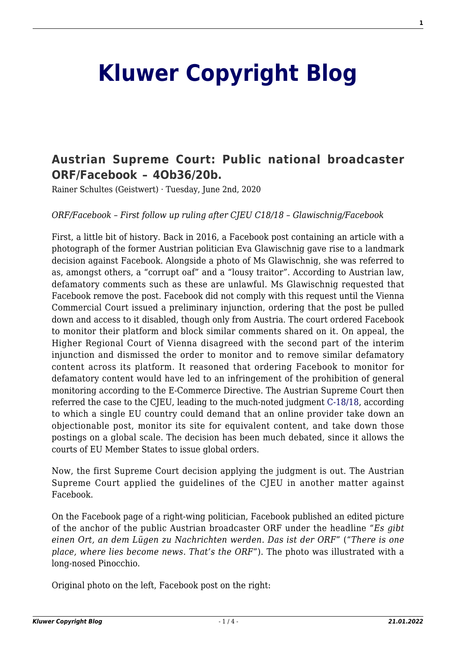## **[Kluwer Copyright Blog](http://copyrightblog.kluweriplaw.com/)**

## **[Austrian Supreme Court: Public national broadcaster](http://copyrightblog.kluweriplaw.com/2020/06/02/austrian-supreme-court-public-national-broadcaster-orf-facebook-4ob36-20b/) [ORF/Facebook – 4Ob36/20b.](http://copyrightblog.kluweriplaw.com/2020/06/02/austrian-supreme-court-public-national-broadcaster-orf-facebook-4ob36-20b/)**

Rainer Schultes (Geistwert) · Tuesday, June 2nd, 2020

*ORF/Facebook – First follow up ruling after CJEU C18/18 – Glawischnig/Facebook*

First, a little bit of history. Back in 2016, a Facebook post containing an article with a photograph of the former Austrian politician Eva Glawischnig gave rise to a landmark decision against Facebook. Alongside a photo of Ms Glawischnig, she was referred to as, amongst others, a "corrupt oaf" and a "lousy traitor". According to Austrian law, defamatory comments such as these are unlawful. Ms Glawischnig requested that Facebook remove the post. Facebook did not comply with this request until the Vienna Commercial Court issued a preliminary injunction, ordering that the post be pulled down and access to it disabled, though only from Austria. The court ordered Facebook to monitor their platform and block similar comments shared on it. On appeal, the Higher Regional Court of Vienna disagreed with the second part of the interim injunction and dismissed the order to monitor and to remove similar defamatory content across its platform. It reasoned that ordering Facebook to monitor for defamatory content would have led to an infringement of the prohibition of general monitoring according to the E-Commerce Directive. The Austrian Supreme Court then referred the case to the CJEU, leading to the much-noted judgment [C-18/18,](http://curia.europa.eu/juris/document/document.jsf;jsessionid=8293E1C2D7C81B58F0B3EC9495B57BB4?text=&docid=218621&pageIndex=0&doclang=en&mode=lst&dir=&occ=first&part=1&cid=2260687) according to which a single EU country could demand that an online provider take down an objectionable post, monitor its site for equivalent content, and take down those postings on a global scale. The decision has been much debated, since it allows the courts of EU Member States to issue global orders.

Now, the first Supreme Court decision applying the judgment is out. The Austrian Supreme Court applied the guidelines of the CJEU in another matter against Facebook.

On the Facebook page of a right-wing politician, Facebook published an edited picture of the anchor of the public Austrian broadcaster ORF under the headline "*Es gibt einen Ort, an dem Lügen zu Nachrichten werden. Das ist der ORF*" ("*There is one place, where lies become news. That's the ORF*"). The photo was illustrated with a long-nosed Pinocchio.

Original photo on the left, Facebook post on the right: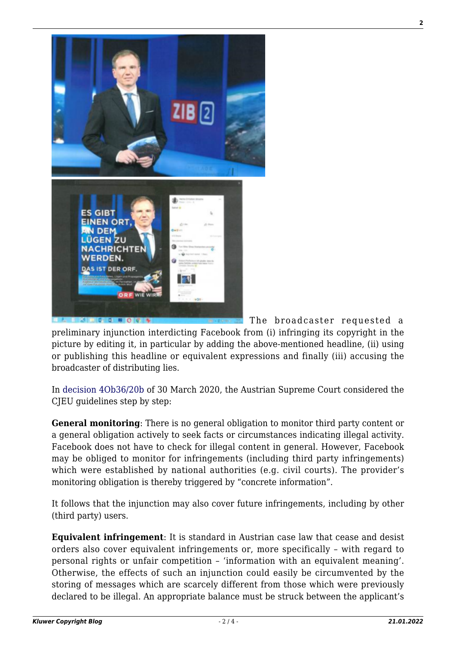

 The broadcaster requested a preliminary injunction interdicting Facebook from (i) infringing its copyright in the picture by editing it, in particular by adding the above-mentioned headline, (ii) using or publishing this headline or equivalent expressions and finally (iii) accusing the broadcaster of distributing lies.

I

In [decision 4Ob36/20b](https://www.ris.bka.gv.at/Dokumente/Justiz/JJT_20200330_OGH0002_0040OB00036_20B0000_000/JJT_20200330_OGH0002_0040OB00036_20B0000_000.pdf) of 30 March 2020, the Austrian Supreme Court considered the CJEU guidelines step by step:

**General monitoring**: There is no general obligation to monitor third party content or a general obligation actively to seek facts or circumstances indicating illegal activity. Facebook does not have to check for illegal content in general. However, Facebook may be obliged to monitor for infringements (including third party infringements) which were established by national authorities (e.g. civil courts). The provider's monitoring obligation is thereby triggered by "concrete information".

It follows that the injunction may also cover future infringements, including by other (third party) users.

**Equivalent infringement**: It is standard in Austrian case law that cease and desist orders also cover equivalent infringements or, more specifically – with regard to personal rights or unfair competition – 'information with an equivalent meaning'. Otherwise, the effects of such an injunction could easily be circumvented by the storing of messages which are scarcely different from those which were previously declared to be illegal. An appropriate balance must be struck between the applicant's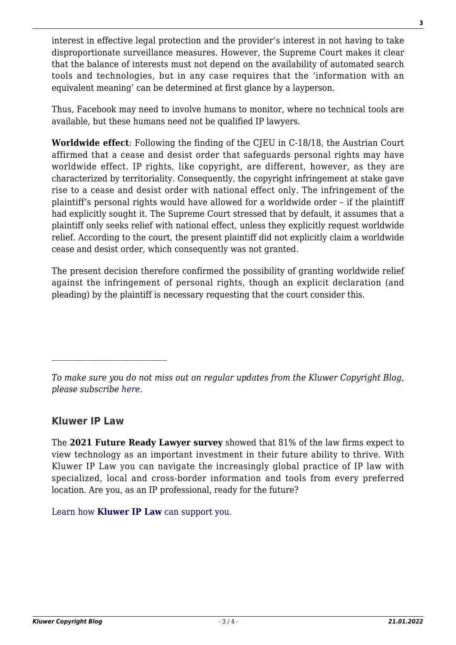interest in effective legal protection and the provider's interest in not having to take disproportionate surveillance measures. However, the Supreme Court makes it clear that the balance of interests must not depend on the availability of automated search tools and technologies, but in any case requires that the 'information with an equivalent meaning' can be determined at first glance by a layperson.

Thus, Facebook may need to involve humans to monitor, where no technical tools are available, but these humans need not be qualified IP lawyers.

**Worldwide effect**: Following the finding of the CJEU in C-18/18, the Austrian Court affirmed that a cease and desist order that safeguards personal rights may have worldwide effect. IP rights, like copyright, are different, however, as they are characterized by territoriality. Consequently, the copyright infringement at stake gave rise to a cease and desist order with national effect only. The infringement of the plaintiff's personal rights would have allowed for a worldwide order – if the plaintiff had explicitly sought it. The Supreme Court stressed that by default, it assumes that a plaintiff only seeks relief with national effect, unless they explicitly request worldwide relief. According to the court, the present plaintiff did not explicitly claim a worldwide cease and desist order, which consequently was not granted.

The present decision therefore confirmed the possibility of granting worldwide relief against the infringement of personal rights, though an explicit declaration (and pleading) by the plaintiff is necessary requesting that the court consider this.

*To make sure you do not miss out on regular updates from the Kluwer Copyright Blog, please subscribe [here.](http://copyrightblog.kluweriplaw.com/newsletter)*

## **Kluwer IP Law**

The **2021 Future Ready Lawyer survey** showed that 81% of the law firms expect to view technology as an important investment in their future ability to thrive. With Kluwer IP Law you can navigate the increasingly global practice of IP law with specialized, local and cross-border information and tools from every preferred location. Are you, as an IP professional, ready for the future?

[Learn how](https://www.wolterskluwer.com/en/solutions/kluweriplaw?utm_source=copyrightnblog&utm_medium=articleCTA&utm_campaign=article-banner) **[Kluwer IP Law](https://www.wolterskluwer.com/en/solutions/kluweriplaw?utm_source=copyrightnblog&utm_medium=articleCTA&utm_campaign=article-banner)** [can support you.](https://www.wolterskluwer.com/en/solutions/kluweriplaw?utm_source=copyrightnblog&utm_medium=articleCTA&utm_campaign=article-banner)